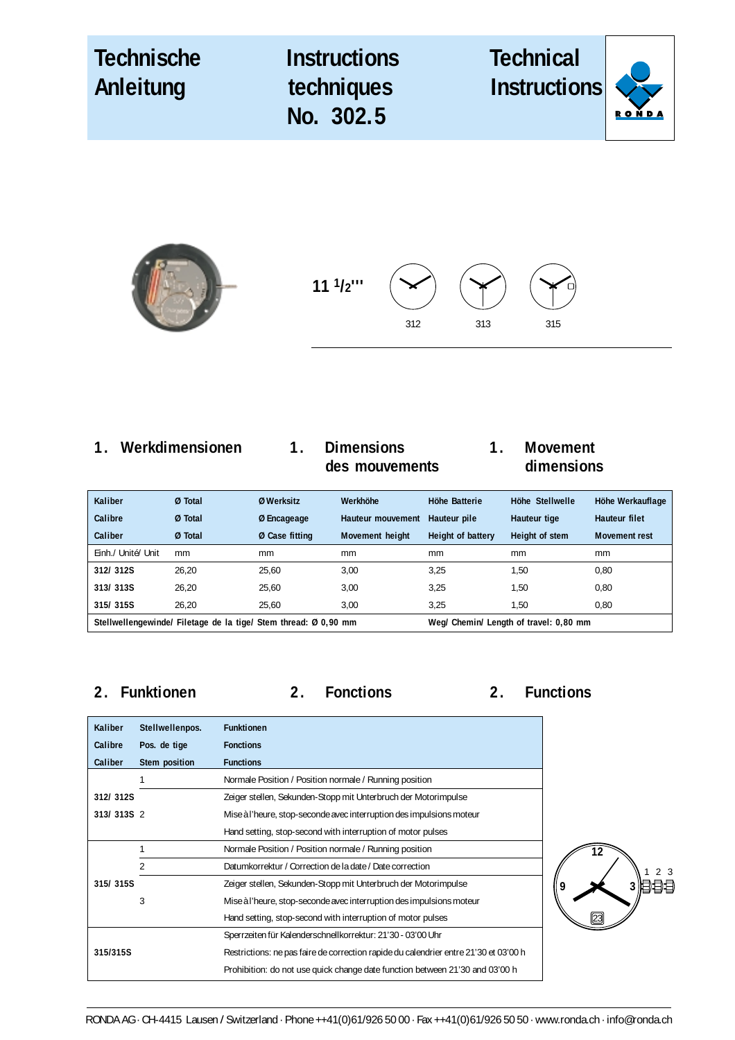| Technische<br>Anleitung | <b>Instructions</b><br>techniques<br>No. 302.5 | <b>Technical</b><br><b>Instructions</b> |  |
|-------------------------|------------------------------------------------|-----------------------------------------|--|
|                         |                                                |                                         |  |

**11 1/2'''**



312

| <b>Kaliber</b>                                                  | Ø Total | Ø Werksitz     | Werkhöhe          | Höhe Batterie                          | Höhe Stellwelle | Höhe Werkauflage     |
|-----------------------------------------------------------------|---------|----------------|-------------------|----------------------------------------|-----------------|----------------------|
| Calibre                                                         | Ø Total | Ø Encageage    | Hauteur mouvement | Hauteur pile                           | Hauteur tige    | <b>Hauteur filet</b> |
| Caliber                                                         | Ø Total | Ø Case fitting | Movement height   | Height of battery                      | Height of stem  | <b>Movement rest</b> |
| Einh./ Unité/ Unit                                              | mm      | mm             | mm                | mm                                     | mm              | <sub>mm</sub>        |
| 312/312S                                                        | 26.20   | 25.60          | 3.00              | 3.25                                   | 1,50            | 0.80                 |
| 313/313S                                                        | 26.20   | 25,60          | 3,00              | 3,25                                   | 1,50            | 0,80                 |
| 315/315S                                                        | 26.20   | 25.60          | 3.00              | 3.25                                   | 1,50            | 0.80                 |
| Stellwellengewinde/ Filetage de la tige/ Stem thread: Ø 0,90 mm |         |                |                   | Weg/ Chemin/ Length of travel: 0,80 mm |                 |                      |

**2. Funktionen 2. Fonctions 2. Functions**

313 315

| <b>Kaliber</b> | Stellwellenpos. | <b>Funktionen</b>                                                                    |
|----------------|-----------------|--------------------------------------------------------------------------------------|
| Calibre        | Pos. de tige    | <b>Fonctions</b>                                                                     |
| Caliber        | Stem position   | <b>Functions</b>                                                                     |
|                | 1               | Normale Position / Position normale / Running position                               |
| 312/312S       |                 | Zeiger stellen, Sekunden-Stopp mit Unterbruch der Motorimpulse                       |
| 313/313S 2     |                 | Mise à l'heure, stop-seconde avec interruption des impulsions moteur                 |
|                |                 | Hand setting, stop-second with interruption of motor pulses                          |
|                |                 | Normale Position / Position normale / Running position                               |
|                | 2               | Datumkorrektur / Correction de la date / Date correction                             |
| 315/315S       |                 | Zeiger stellen, Sekunden-Stopp mit Unterbruch der Motorimpulse                       |
|                | 3               | Mise à l'heure, stop-seconde avec interruption des impulsions moteur                 |
|                |                 | Hand setting, stop-second with interruption of motor pulses                          |
|                |                 | Sperrzeiten für Kalenderschnellkorrektur: 21'30 - 03'00 Uhr                          |
| 315/315S       |                 | Restrictions: ne pas faire de correction rapide du calendrier entre 21'30 et 03'00 h |
|                |                 | Prohibition: do not use quick change date function between 21'30 and 03'00 h         |

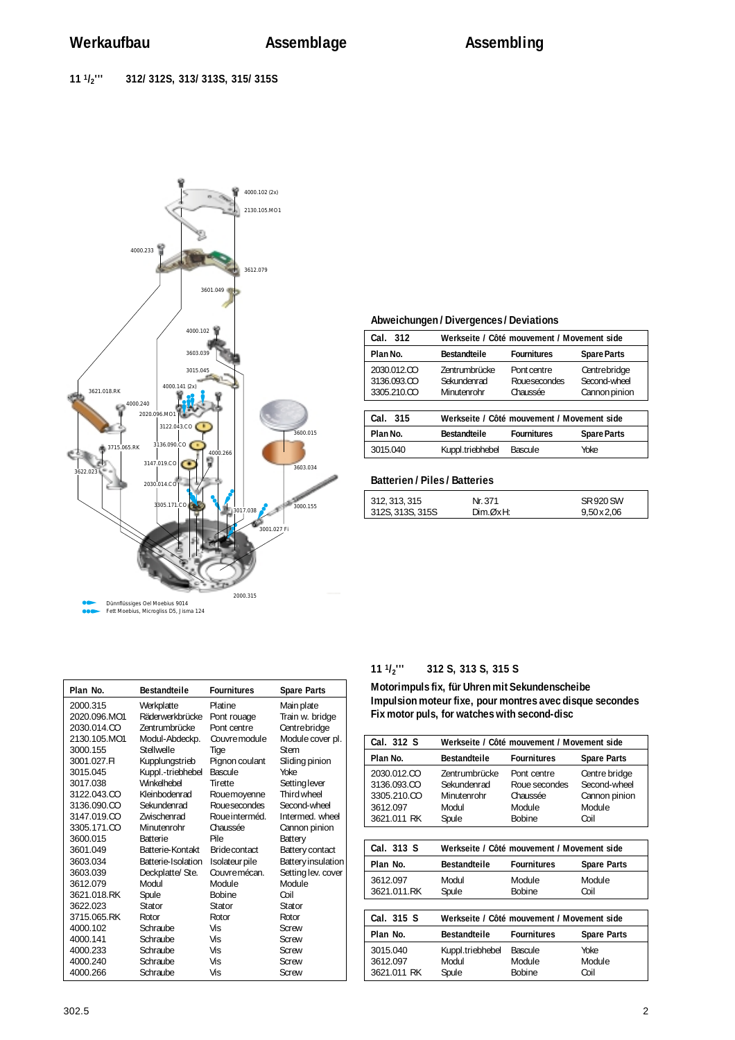

| Plan No.     | <b>Bestandteile</b> | <b>Fournitures</b> | <b>Spare Parts</b>        |
|--------------|---------------------|--------------------|---------------------------|
| 2000.315     | Werkplatte          | Platine            | Main plate                |
| 2020.096.MO1 | Räderwerkbrücke     | Pont rouage        | Train w. bridge           |
| 2030.014.CO  | Zentrumbrücke       | Pont centre        | Centre bridge             |
| 2130.105.MO1 | Modul-Abdeckp.      | Couvre module      | Module cover pl.          |
| 3000.155     | Stellwelle          | Tige               | Stem                      |
| 3001.027.FI  | Kupplungstrieb      | Pignon coulant     | Sliding pinion            |
| 3015.045     | Kuppl.-triebhebel   | <b>Bascule</b>     | Yoke                      |
| 3017.038     | Winkelhebel         | Tirette            | Setting lever             |
| 3122.043.CO  | Kleinbodenrad       | Roue moyenne       | Third wheel               |
| 3136.090.CO  | Sekundenrad         | Roue secondes      | Second-wheel              |
| 3147.019.CO  | <b>7wischenrad</b>  | Roue interméd.     | Intermed wheel            |
| 3305.171.CO  | Minutenrohr         | Chaussée           | Cannon pinion             |
| 3600.015     | <b>Batterie</b>     | Pile               | Battery                   |
| 3601.049     | Batterie-Kontakt    | Bride contact      | <b>Battery contact</b>    |
| 3603.034     | Batterie-Isolation  | Isolateur pile     | <b>Battery insulation</b> |
| 3603.039     | Deckplatte/Ste.     | Couvre mécan.      | Setting lev. cover        |
| 3612.079     | <b>Modul</b>        | Module             | Module                    |
| 3621.018.RK  | Spule               | <b>Bobine</b>      | Coil                      |
| 3622.023     | Stator              | Stator             | Stator                    |
| 3715.065.RK  | Rotor               | Rotor              | Rotor                     |
| 4000.102     | Schraube            | Vis                | Screw                     |
| 4000.141     | Schraube            | Vis                | Screw                     |
| 4000.233     | Schraube            | <b>Vis</b>         | Screw                     |
| 4000.240     | Schraube            | Vis                | Screw                     |
| 4000.266     | Schraube            | Vis                | Screw                     |

### **Abweichungen / Divergences / Deviations**

| Cal. 312    |                                           | Werkseite / Côté mouvement / Movement side |                    |  |  |  |
|-------------|-------------------------------------------|--------------------------------------------|--------------------|--|--|--|
| Plan No.    | <b>Fournitures</b><br><b>Bestandteile</b> |                                            | <b>Spare Parts</b> |  |  |  |
| 2030.012.CO | <b>Zentrumbrücke</b>                      | Pont centre                                | Centre bridge      |  |  |  |
| 3136.093.CO | Sekundenrad                               | Roue secondes                              | Second-wheel       |  |  |  |
| 3305.210.CO | Minutenrohr<br>Chaussée                   |                                            | Cannon pinion      |  |  |  |
|             |                                           |                                            |                    |  |  |  |
| Cal. 315    |                                           | Werkseite / Côté mouvement / Movement side |                    |  |  |  |
| Plan No.    | <b>Bestandteile</b>                       | <b>Fournitures</b>                         | <b>Spare Parts</b> |  |  |  |
| 3015.040    | Kuppl.triebhebel                          | Bascule                                    | Yoke               |  |  |  |

## **Batterien / Piles / Batteries**

| 312, 313, 315        | Nr. 371   | SR 920 SW          |
|----------------------|-----------|--------------------|
| $ $ 312S, 313S, 315S | Dim. QxH: | $9,50 \times 2,06$ |

### **11 1/2''' 312 S, 313 S, 315 S**

**Motorimpuls fix, für Uhren mit Sekundenscheibe Impulsion moteur fixe, pour montres avec disque secondes Fix motor puls, for watches with second-disc**

| Cal. 312 S  | Werkseite / Côté mouvement / Movement side |                                            |                    |  |  |
|-------------|--------------------------------------------|--------------------------------------------|--------------------|--|--|
| Plan No.    | <b>Bestandteile</b>                        | <b>Fournitures</b>                         | <b>Spare Parts</b> |  |  |
| 2030.012.CO | Zentrumbrücke                              | Pont centre                                | Centre bridge      |  |  |
| 3136.093.CO | Sekundenrad                                | Roue secondes                              | Second-wheel       |  |  |
| 3305.210.CO | Minutenrohr                                | Chaussée                                   | Cannon pinion      |  |  |
| 3612.097    | Modul                                      | Module                                     | Module             |  |  |
| 3621.011 RK | Spule                                      | <b>Bobine</b>                              | Coil               |  |  |
|             |                                            |                                            |                    |  |  |
| Cal. 313 S  |                                            | Werkseite / Côté mouvement / Movement side |                    |  |  |
| Plan No.    | Bestandteile                               | <b>Fournitures</b>                         | <b>Spare Parts</b> |  |  |
| 3612.097    | Modul                                      | Module                                     | Module             |  |  |
| 3621.011.RK | Spule                                      | <b>Bobine</b>                              | Coil               |  |  |
|             |                                            |                                            |                    |  |  |
| Cal. 315 S  |                                            | Werkseite / Côté mouvement / Movement side |                    |  |  |
|             |                                            |                                            |                    |  |  |
| Plan No.    | <b>Bestandteile</b>                        | <b>Fournitures</b>                         | <b>Spare Parts</b> |  |  |
| 3015.040    | Kuppl.triebhebel                           | Bascule                                    | Yoke               |  |  |
| 3612.097    | Modul                                      | Module                                     | Module             |  |  |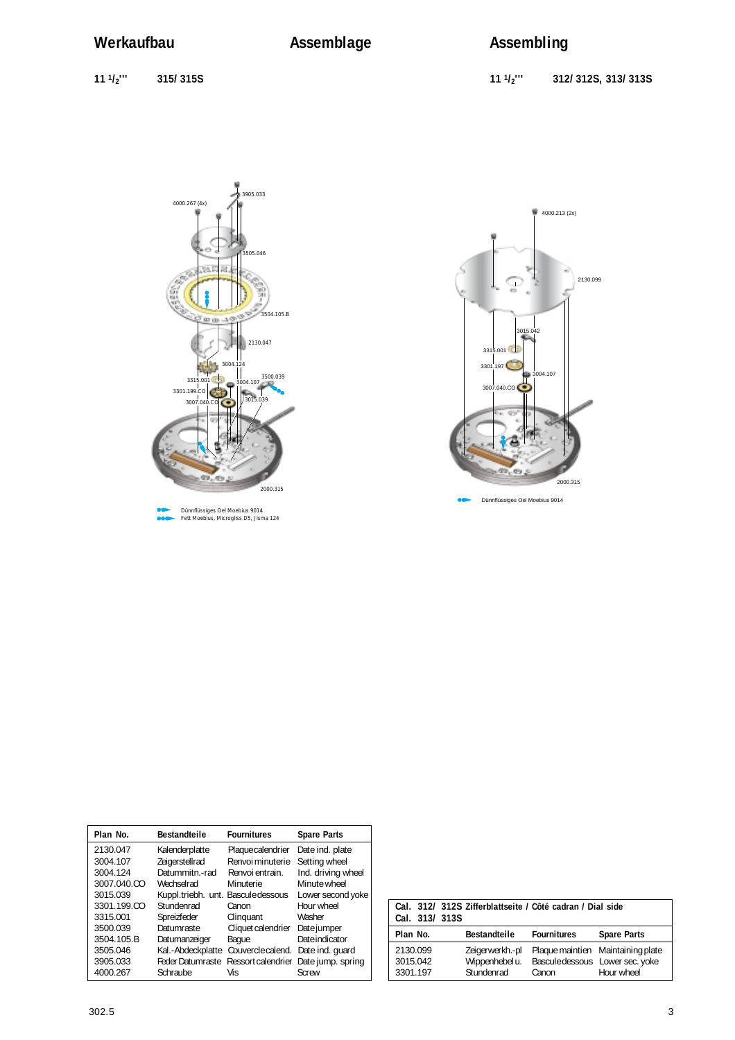**11 1/2''' 315/ 315S 11 1/2''' 312/ 312S, 313/ 313S**





Dünnflüssiges Oel Moebius 9014

| Plan No.    | <b>Bestandteile</b>                | <b>Fournitures</b> | <b>Spare Parts</b> |
|-------------|------------------------------------|--------------------|--------------------|
| 2130.047    | Kalenderplatte                     | Plaque calendrier  | Date ind. plate    |
| 3004.107    | Zeigerstellrad                     | Renvoi minuterie   | Setting wheel      |
| 3004.124    | Datummitn.-rad                     | Renvoi entrain.    | Ind. driving wheel |
| 3007.040.CO | Wechselrad                         | Minuterie          | Minute wheel       |
| 3015.039    | Kuppl.triebh. unt. Bascule dessous |                    | Lower second yoke  |
| 3301.199.CO | Stundenrad                         | Canon              | Hour wheel         |
| 3315.001    | Spreizfeder                        | Clinguant          | Washer             |
| 3500.039    | Datumraste                         | Cliquet calendrier | Date jumper        |
| 3504.105.B  | Datumanzeiger                      | Baque              | Date indicator     |
| 3505.046    | Kal.-Abdeckplatte                  | Couvercle calend.  | Date ind. quard    |
| 3905.033    | <b>Feder Datumraste</b>            | Ressort calendrier | Date jump. spring  |
| 4000.267    | Schraube                           | Vis                | Screw              |

| Cal. 313/313S        |                                   | Cal. 312/ 312S Zifferblattseite / Côté cadran / Dial side |                                   |
|----------------------|-----------------------------------|-----------------------------------------------------------|-----------------------------------|
| Plan No.             | <b>Bestandteile</b>               | <b>Fournitures</b>                                        | <b>Spare Parts</b>                |
| 2130.099<br>3015.042 | Zeigerwerkh.-pl<br>Wippenhebel u. | Bascule dessous Lower sec. yoke                           | Plaque maintien Maintaining plate |
| 3301.197             | Stundenrad                        | Canon                                                     | Hour wheel                        |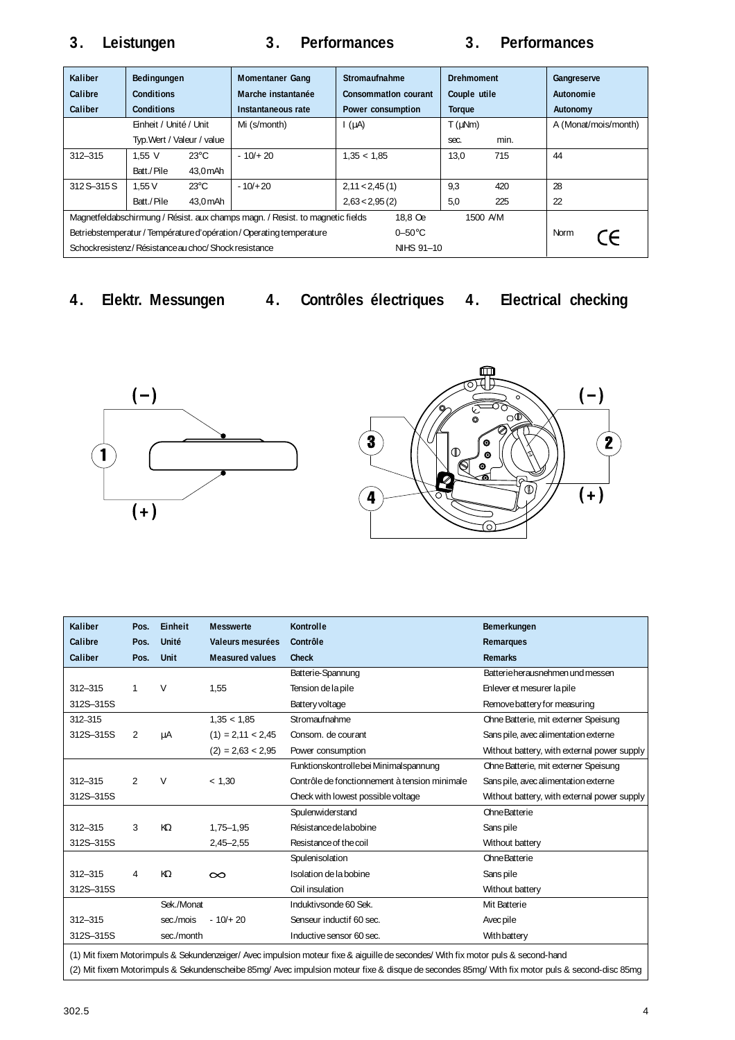# **3. Leistungen 3. Performances 3. Performances**

| Kaliber<br>Calibre                                                                                   | Bedingungen<br>Conditions  |                 | <b>Momentaner Gang</b><br>Marche instantanée | Stromaufnahme<br>Consommation courant | <b>Drehmoment</b><br>Couple utile |      | Gangreserve<br>Autonomie |
|------------------------------------------------------------------------------------------------------|----------------------------|-----------------|----------------------------------------------|---------------------------------------|-----------------------------------|------|--------------------------|
| Caliber                                                                                              | <b>Conditions</b>          |                 | Instantaneous rate                           | Power consumption                     | <b>Torque</b>                     |      | Autonomy                 |
|                                                                                                      | Einheit / Unité / Unit     |                 | Mi (s/month)                                 | $\int (\mu A)$                        | $T$ ( $\mu$ Nm)                   |      | A (Monat/mois/month)     |
|                                                                                                      | Typ. Wert / Valeur / value |                 |                                              |                                       | sec.                              | min. |                          |
| $312 - 315$                                                                                          | $1.55$ V                   | $23^{\circ}$ C  | $-10/+20$                                    | 1,35 < 1,85                           | 13.0                              | 715  | 44                       |
|                                                                                                      | Batt./Pile                 | 43.0 mAh        |                                              |                                       |                                   |      |                          |
| 312 S-315 S                                                                                          | 1.55V                      | $23^{\circ}$ C  | $-10/120$                                    | 2,11 < 2,45(1)                        | 9,3                               | 420  | 28                       |
|                                                                                                      | Batt./Pile                 | 43.0 mAh        |                                              | 2,63 < 2,95(2)                        | 5,0                               | 225  | 22                       |
| Magnetfeldabschirmung / Résist. aux champs magn. / Resist. to magnetic fields<br>18.8 Oe<br>1500 A/M |                            |                 |                                              |                                       |                                   |      |                          |
| Betriebstemperatur / Température d'opération / Operating temperature                                 |                            | $0-50\degree$ C |                                              |                                       | Norm<br>$\epsilon$                |      |                          |
| Schockresistenz / Résistance au choc/ Shock resistance                                               |                            |                 |                                              | NIHS 91-10                            |                                   |      |                          |

**4. Elektr. Messungen 4. Contrôles électriques 4. Electrical checking**





| Kaliber     | Pos.           | Einheit     | <b>Messwerte</b>       | Kontrolle                                                                                                                           | Bemerkungen                                 |
|-------------|----------------|-------------|------------------------|-------------------------------------------------------------------------------------------------------------------------------------|---------------------------------------------|
| Calibre     | Pos.           | Unité       | Valeurs mesurées       | Contrôle                                                                                                                            | Remarques                                   |
| Caliber     | Pos.           | <b>Unit</b> | <b>Measured values</b> | <b>Check</b>                                                                                                                        | <b>Remarks</b>                              |
|             |                |             |                        | Batterie-Spannung                                                                                                                   | Batterie herausnehmen und messen            |
| $312 - 315$ | 1              | V           | 1.55                   | Tension de la pile                                                                                                                  | Enlever et mesurer la pile                  |
| 312S-315S   |                |             |                        | Battery voltage                                                                                                                     | Remove battery for measuring                |
| 312-315     |                |             | 1.35 < 1.85            | Stromaufnahme                                                                                                                       | Ohne Batterie, mit externer Speisung        |
| 312S-315S   | 2              | μA          | $(1) = 2,11 < 2,45$    | Consom. de courant                                                                                                                  | Sans pile, avec alimentation externe        |
|             |                |             | $(2) = 2,63 < 2,95$    | Power consumption                                                                                                                   | Without battery, with external power supply |
|             |                |             |                        | Funktionskontrolle bei Minimalspannung                                                                                              | Ohne Batterie, mit externer Speisung        |
| $312 - 315$ | $\overline{2}$ | $\vee$      | < 1,30                 | Contrôle de fonctionnement à tension minimale                                                                                       | Sans pile, avec alimentation externe        |
| 312S-315S   |                |             |                        | Check with lowest possible voltage                                                                                                  | Without battery, with external power supply |
|             |                |             |                        | Spulenwiderstand                                                                                                                    | Ohne Batterie                               |
| $312 - 315$ | 3              | KΩ          | $1,75 - 1,95$          | Résistance de la bobine                                                                                                             | Sans pile                                   |
| 312S-315S   |                |             | $2,45 - 2,55$          | Resistance of the coil                                                                                                              | Without battery                             |
|             |                |             |                        | Spulenisolation                                                                                                                     | Ohne Batterie                               |
| $312 - 315$ | 4              | KΩ          | $\infty$               | Isolation de la bobine                                                                                                              | Sans pile                                   |
| 312S-315S   |                |             |                        | Coil insulation                                                                                                                     | Without battery                             |
|             |                | Sek./Monat  |                        | Induktivsonde 60 Sek.                                                                                                               | Mit Batterie                                |
| $312 - 315$ |                | sec./mois   | $-10/+20$              | Senseur inductif 60 sec.                                                                                                            | Avec pile                                   |
| 312S-315S   |                | sec./month  |                        | Inductive sensor 60 sec.                                                                                                            | With battery                                |
|             |                |             |                        | (1) Mit fly and Materian in a Columbus produced Arra impulsion metacultus A deville de sessionale (Mith fly metacular Arranged houd |                                             |

(1) Mit fixem Motorimpuls & Sekundenzeiger/ Avec impulsion moteur fixe & aiguille de secondes/ With fix motor puls & second-hand (2) Mit fixem Motorimpuls & Sekundenscheibe 85mg/ Avec impulsion moteur fixe & disque de secondes 85mg/ With fix motor puls & second-disc 85mg